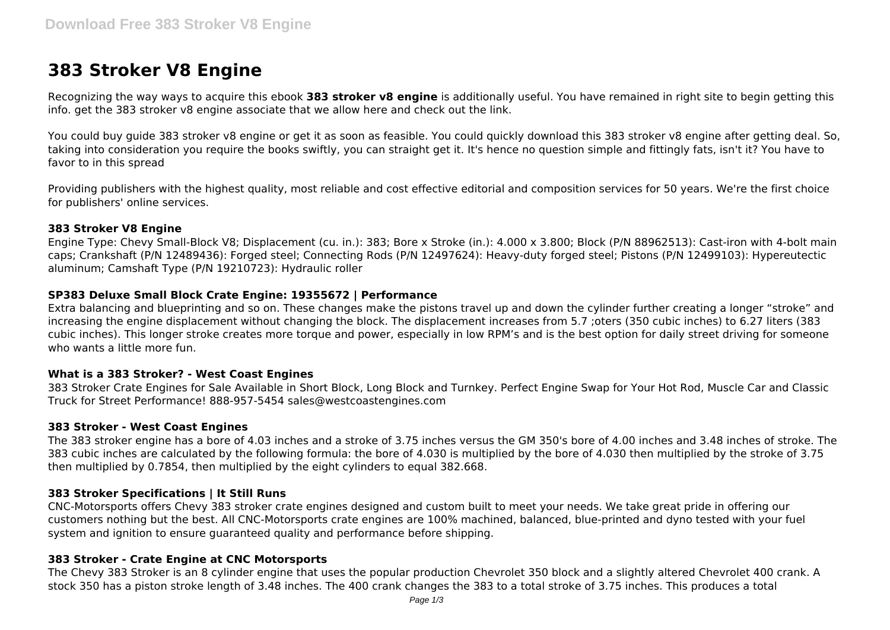# **383 Stroker V8 Engine**

Recognizing the way ways to acquire this ebook **383 stroker v8 engine** is additionally useful. You have remained in right site to begin getting this info. get the 383 stroker v8 engine associate that we allow here and check out the link.

You could buy guide 383 stroker v8 engine or get it as soon as feasible. You could quickly download this 383 stroker v8 engine after getting deal. So, taking into consideration you require the books swiftly, you can straight get it. It's hence no question simple and fittingly fats, isn't it? You have to favor to in this spread

Providing publishers with the highest quality, most reliable and cost effective editorial and composition services for 50 years. We're the first choice for publishers' online services.

## **383 Stroker V8 Engine**

Engine Type: Chevy Small-Block V8; Displacement (cu. in.): 383; Bore x Stroke (in.): 4.000 x 3.800; Block (P/N 88962513): Cast-iron with 4-bolt main caps; Crankshaft (P/N 12489436): Forged steel; Connecting Rods (P/N 12497624): Heavy-duty forged steel; Pistons (P/N 12499103): Hypereutectic aluminum; Camshaft Type (P/N 19210723): Hydraulic roller

## **SP383 Deluxe Small Block Crate Engine: 19355672 | Performance**

Extra balancing and blueprinting and so on. These changes make the pistons travel up and down the cylinder further creating a longer "stroke" and increasing the engine displacement without changing the block. The displacement increases from 5.7 ;oters (350 cubic inches) to 6.27 liters (383 cubic inches). This longer stroke creates more torque and power, especially in low RPM's and is the best option for daily street driving for someone who wants a little more fun.

## **What is a 383 Stroker? - West Coast Engines**

383 Stroker Crate Engines for Sale Available in Short Block, Long Block and Turnkey. Perfect Engine Swap for Your Hot Rod, Muscle Car and Classic Truck for Street Performance! 888-957-5454 sales@westcoastengines.com

#### **383 Stroker - West Coast Engines**

The 383 stroker engine has a bore of 4.03 inches and a stroke of 3.75 inches versus the GM 350's bore of 4.00 inches and 3.48 inches of stroke. The 383 cubic inches are calculated by the following formula: the bore of 4.030 is multiplied by the bore of 4.030 then multiplied by the stroke of 3.75 then multiplied by 0.7854, then multiplied by the eight cylinders to equal 382.668.

## **383 Stroker Specifications | It Still Runs**

CNC-Motorsports offers Chevy 383 stroker crate engines designed and custom built to meet your needs. We take great pride in offering our customers nothing but the best. All CNC-Motorsports crate engines are 100% machined, balanced, blue-printed and dyno tested with your fuel system and ignition to ensure guaranteed quality and performance before shipping.

## **383 Stroker - Crate Engine at CNC Motorsports**

The Chevy 383 Stroker is an 8 cylinder engine that uses the popular production Chevrolet 350 block and a slightly altered Chevrolet 400 crank. A stock 350 has a piston stroke length of 3.48 inches. The 400 crank changes the 383 to a total stroke of 3.75 inches. This produces a total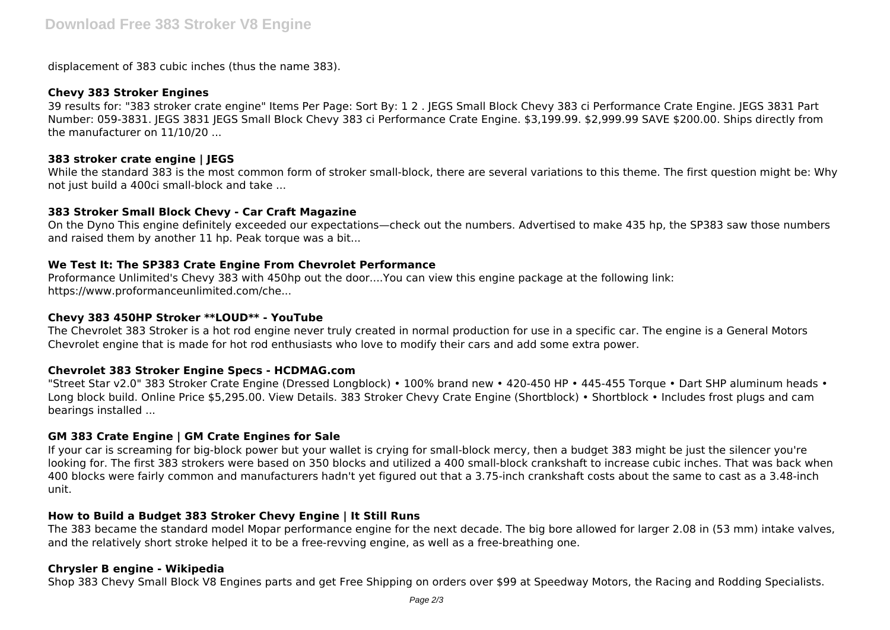displacement of 383 cubic inches (thus the name 383).

## **Chevy 383 Stroker Engines**

39 results for: "383 stroker crate engine" Items Per Page: Sort By: 1 2 . JEGS Small Block Chevy 383 ci Performance Crate Engine. JEGS 3831 Part Number: 059-3831. JEGS 3831 JEGS Small Block Chevy 383 ci Performance Crate Engine. \$3,199.99. \$2,999.99 SAVE \$200.00. Ships directly from the manufacturer on 11/10/20 ...

## **383 stroker crate engine | JEGS**

While the standard 383 is the most common form of stroker small-block, there are several variations to this theme. The first question might be: Why not just build a 400ci small-block and take ...

## **383 Stroker Small Block Chevy - Car Craft Magazine**

On the Dyno This engine definitely exceeded our expectations—check out the numbers. Advertised to make 435 hp, the SP383 saw those numbers and raised them by another 11 hp. Peak torque was a bit...

## **We Test It: The SP383 Crate Engine From Chevrolet Performance**

Proformance Unlimited's Chevy 383 with 450hp out the door....You can view this engine package at the following link: https://www.proformanceunlimited.com/che...

## **Chevy 383 450HP Stroker \*\*LOUD\*\* - YouTube**

The Chevrolet 383 Stroker is a hot rod engine never truly created in normal production for use in a specific car. The engine is a General Motors Chevrolet engine that is made for hot rod enthusiasts who love to modify their cars and add some extra power.

## **Chevrolet 383 Stroker Engine Specs - HCDMAG.com**

"Street Star v2.0" 383 Stroker Crate Engine (Dressed Longblock) • 100% brand new • 420-450 HP • 445-455 Torque • Dart SHP aluminum heads • Long block build. Online Price \$5,295.00. View Details. 383 Stroker Chevy Crate Engine (Shortblock) • Shortblock • Includes frost plugs and cam bearings installed ...

## **GM 383 Crate Engine | GM Crate Engines for Sale**

If your car is screaming for big-block power but your wallet is crying for small-block mercy, then a budget 383 might be just the silencer you're looking for. The first 383 strokers were based on 350 blocks and utilized a 400 small-block crankshaft to increase cubic inches. That was back when 400 blocks were fairly common and manufacturers hadn't yet figured out that a 3.75-inch crankshaft costs about the same to cast as a 3.48-inch unit.

## **How to Build a Budget 383 Stroker Chevy Engine | It Still Runs**

The 383 became the standard model Mopar performance engine for the next decade. The big bore allowed for larger 2.08 in (53 mm) intake valves, and the relatively short stroke helped it to be a free-revving engine, as well as a free-breathing one.

## **Chrysler B engine - Wikipedia**

Shop 383 Chevy Small Block V8 Engines parts and get Free Shipping on orders over \$99 at Speedway Motors, the Racing and Rodding Specialists.